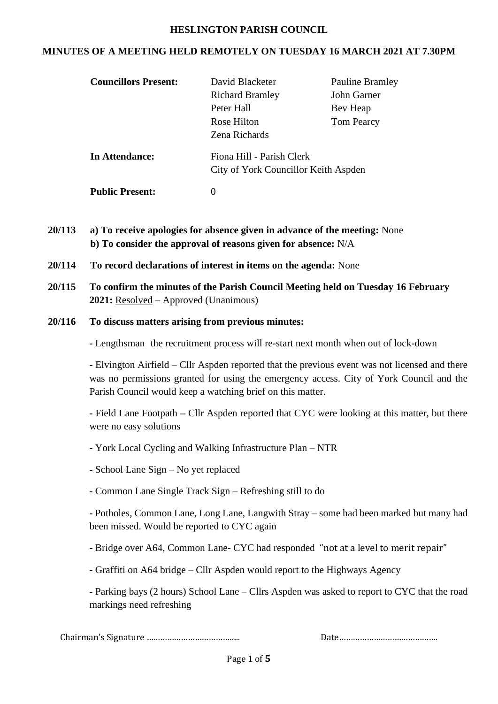#### **HESLINGTON PARISH COUNCIL**

#### **MINUTES OF A MEETING HELD REMOTELY ON TUESDAY 16 MARCH 2021 AT 7.30PM**

| <b>Councillors Present:</b> | David Blacketer                      | <b>Pauline Bramley</b> |  |
|-----------------------------|--------------------------------------|------------------------|--|
|                             | <b>Richard Bramley</b>               | John Garner            |  |
|                             | Peter Hall                           | Bev Heap               |  |
|                             | Rose Hilton                          | <b>Tom Pearcy</b>      |  |
|                             | Zena Richards                        |                        |  |
| In Attendance:              | Fiona Hill - Parish Clerk            |                        |  |
|                             | City of York Councillor Keith Aspden |                        |  |
| <b>Public Present:</b>      | $\theta$                             |                        |  |

- **20/113 a) To receive apologies for absence given in advance of the meeting:** None **b) To consider the approval of reasons given for absence:** N/A
- **20/114 To record declarations of interest in items on the agenda:** None
- **20/115 To confirm the minutes of the Parish Council Meeting held on Tuesday 16 February 2021:** Resolved – Approved (Unanimous)
- **20/116 To discuss matters arising from previous minutes:**

- Lengthsman the recruitment process will re-start next month when out of lock-down

- Elvington Airfield – Cllr Aspden reported that the previous event was not licensed and there was no permissions granted for using the emergency access. City of York Council and the Parish Council would keep a watching brief on this matter.

**-** Field Lane Footpath **–** Cllr Aspden reported that CYC were looking at this matter, but there were no easy solutions

- **-** York Local Cycling and Walking Infrastructure Plan NTR
- **-** School Lane Sign No yet replaced
- **-** Common Lane Single Track Sign Refreshing still to do

**-** Potholes, Common Lane, Long Lane, Langwith Stray – some had been marked but many had been missed. Would be reported to CYC again

- **-** Bridge over A64, Common Lane- CYC had responded "not at a level to merit repair"
- **-** Graffiti on A64 bridge Cllr Aspden would report to the Highways Agency

**-** Parking bays (2 hours) School Lane – Cllrs Aspden was asked to report to CYC that the road markings need refreshing

Chairman's Signature ………………………………….. Date…………………………………….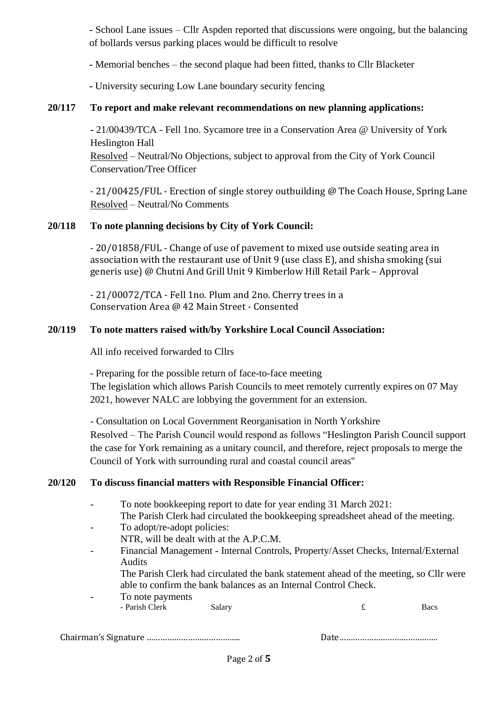**-** School Lane issues – Cllr Aspden reported that discussions were ongoing, but the balancing of bollards versus parking places would be difficult to resolve

**-** Memorial benches – the second plaque had been fitted, thanks to Cllr Blacketer

**-** University securing Low Lane boundary security fencing

# **20/117 To report and make relevant recommendations on new planning applications:**

**-** 21/00439/TCA - Fell 1no. Sycamore tree in a Conservation Area @ University of York Heslington Hall Resolved – Neutral/No Objections, subject to approval from the City of York Council Conservation/Tree Officer

- 21/00425/FUL - Erection of single storey outbuilding @ The Coach House, Spring Lane Resolved – Neutral/No Comments

## **20/118 To note planning decisions by City of York Council:**

- 20/01858/FUL - Change of use of pavement to mixed use outside seating area in association with the restaurant use of Unit 9 (use class E), and shisha smoking (sui generis use) @ Chutni And Grill Unit 9 Kimberlow Hill Retail Park – Approval

- 21/00072/TCA - Fell 1no. Plum and 2no. Cherry trees in a Conservation Area @ 42 Main Street - Consented

## **20/119 To note matters raised with/by Yorkshire Local Council Association:**

All info received forwarded to Cllrs

- Preparing for the possible return of face-to-face meeting

The legislation which allows Parish Councils to meet remotely currently expires on 07 May 2021, however NALC are lobbying the government for an extension.

- Consultation on Local Government Reorganisation in North Yorkshire

Resolved – The Parish Council would respond as follows "Heslington Parish Council support the case for York remaining as a unitary council, and therefore, reject proposals to merge the Council of York with surrounding rural and coastal council areas"

## **20/120 To discuss financial matters with Responsible Financial Officer:**

- To note bookkeeping report to date for year ending 31 March 2021: The Parish Clerk had circulated the bookkeeping spreadsheet ahead of the meeting. - To adopt/re-adopt policies:
- NTR, will be dealt with at the A.P.C.M.
- Financial Management Internal Controls, Property/Asset Checks, Internal/External Audits
	- The Parish Clerk had circulated the bank statement ahead of the meeting, so Cllr were able to confirm the bank balances as an Internal Control Check.
- To note payments

| - Parish Clerk | Salary | Bacs |
|----------------|--------|------|
|                |        |      |

Chairman's Signature ………………………………….. Date…………………………………….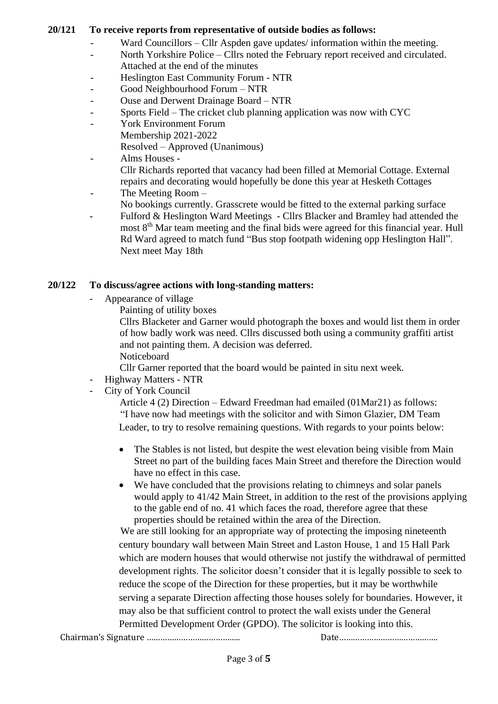#### **20/121 To receive reports from representative of outside bodies as follows:**

- Ward Councillors Cllr Aspden gave updates/ information within the meeting.
- North Yorkshire Police Cllrs noted the February report received and circulated. Attached at the end of the minutes
- Heslington East Community Forum NTR
- Good Neighbourhood Forum NTR
- Ouse and Derwent Drainage Board NTR
- Sports Field The cricket club planning application was now with CYC
- York Environment Forum
	- Membership 2021-2022
	- Resolved Approved (Unanimous)
- Alms Houses -

Cllr Richards reported that vacancy had been filled at Memorial Cottage. External repairs and decorating would hopefully be done this year at Hesketh Cottages

- The Meeting Room –
- No bookings currently. Grasscrete would be fitted to the external parking surface
- Fulford & Heslington Ward Meetings Cllrs Blacker and Bramley had attended the most 8<sup>th</sup> Mar team meeting and the final bids were agreed for this financial year. Hull Rd Ward agreed to match fund "Bus stop footpath widening opp Heslington Hall". Next meet May 18th

### **20/122 To discuss/agree actions with long-standing matters:**

- Appearance of village
	- Painting of utility boxes

Cllrs Blacketer and Garner would photograph the boxes and would list them in order of how badly work was need. Cllrs discussed both using a community graffiti artist and not painting them. A decision was deferred. Noticeboard

Cllr Garner reported that the board would be painted in situ next week.

- Highway Matters NTR
- City of York Council

Article 4 (2) Direction – Edward Freedman had emailed (01Mar21) as follows: "I have now had meetings with the solicitor and with Simon Glazier, DM Team Leader, to try to resolve remaining questions. With regards to your points below:

- The Stables is not listed, but despite the west elevation being visible from Main Street no part of the building faces Main Street and therefore the Direction would have no effect in this case.
- We have concluded that the provisions relating to chimneys and solar panels would apply to 41/42 Main Street, in addition to the rest of the provisions applying to the gable end of no. 41 which faces the road, therefore agree that these properties should be retained within the area of the Direction.

We are still looking for an appropriate way of protecting the imposing nineteenth century boundary wall between Main Street and Laston House, 1 and 15 Hall Park which are modern houses that would otherwise not justify the withdrawal of permitted development rights. The solicitor doesn't consider that it is legally possible to seek to reduce the scope of the Direction for these properties, but it may be worthwhile serving a separate Direction affecting those houses solely for boundaries. However, it may also be that sufficient control to protect the wall exists under the General Permitted Development Order (GPDO). The solicitor is looking into this.

Chairman's Signature ………………………………….. Date…………………………………….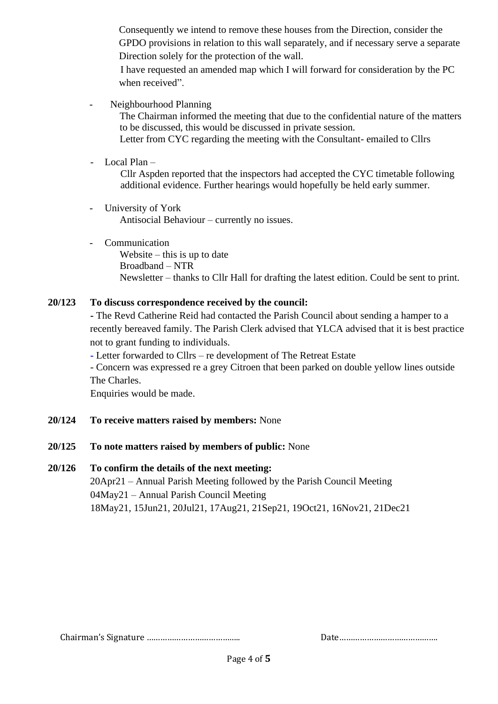Consequently we intend to remove these houses from the Direction, consider the GPDO provisions in relation to this wall separately, and if necessary serve a separate Direction solely for the protection of the wall.

I have requested an amended map which I will forward for consideration by the PC when received".

- Neighbourhood Planning

The Chairman informed the meeting that due to the confidential nature of the matters to be discussed, this would be discussed in private session. Letter from CYC regarding the meeting with the Consultant- emailed to Cllrs

- Local Plan –

Cllr Aspden reported that the inspectors had accepted the CYC timetable following additional evidence. Further hearings would hopefully be held early summer.

- University of York Antisocial Behaviour – currently no issues.
- Communication

Website – this is up to date Broadband – NTR Newsletter – thanks to Cllr Hall for drafting the latest edition. Could be sent to print.

## **20/123 To discuss correspondence received by the council:**

**-** The Revd Catherine Reid had contacted the Parish Council about sending a hamper to a recently bereaved family. The Parish Clerk advised that YLCA advised that it is best practice not to grant funding to individuals.

**-** Letter forwarded to Cllrs – re development of The Retreat Estate

- Concern was expressed re a grey Citroen that been parked on double yellow lines outside The Charles.

Enquiries would be made.

## **20/124 To receive matters raised by members:** None

## **20/125 To note matters raised by members of public:** None

#### **20/126 To confirm the details of the next meeting:**

20Apr21 – Annual Parish Meeting followed by the Parish Council Meeting 04May21 – Annual Parish Council Meeting 18May21, 15Jun21, 20Jul21, 17Aug21, 21Sep21, 19Oct21, 16Nov21, 21Dec21